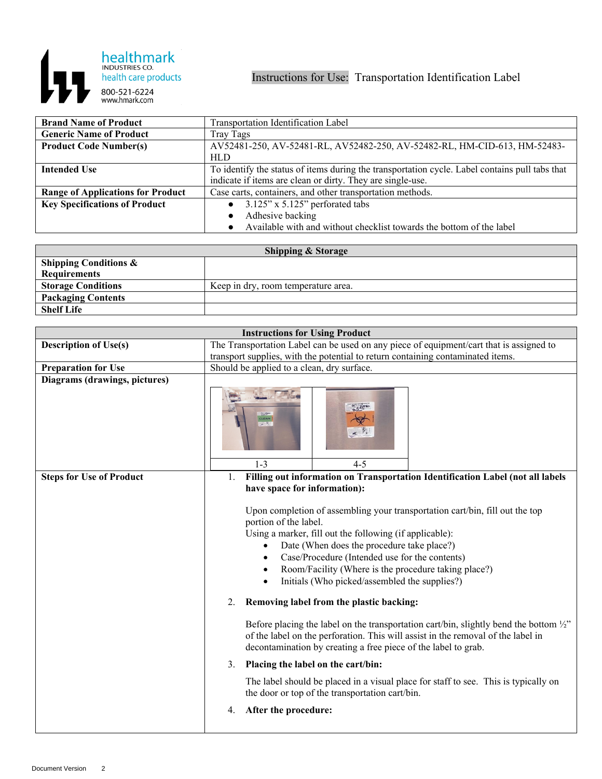

Instructions for Use: Transportation Identification Label

| <b>Brand Name of Product</b>             | Transportation Identification Label                                                            |
|------------------------------------------|------------------------------------------------------------------------------------------------|
| <b>Generic Name of Product</b>           | Tray Tags                                                                                      |
| <b>Product Code Number(s)</b>            | AV52481-250, AV-52481-RL, AV52482-250, AV-52482-RL, HM-CID-613, HM-52483-                      |
|                                          | <b>HLD</b>                                                                                     |
| <b>Intended Use</b>                      | To identify the status of items during the transportation cycle. Label contains pull tabs that |
|                                          | indicate if items are clean or dirty. They are single-use.                                     |
| <b>Range of Applications for Product</b> | Case carts, containers, and other transportation methods.                                      |
| <b>Key Specifications of Product</b>     | $3.125$ " x $5.125$ " perforated tabs                                                          |
|                                          | Adhesive backing                                                                               |
|                                          | Available with and without checklist towards the bottom of the label                           |

| <b>Shipping &amp; Storage</b>    |                                     |  |
|----------------------------------|-------------------------------------|--|
| <b>Shipping Conditions &amp;</b> |                                     |  |
| <b>Requirements</b>              |                                     |  |
| <b>Storage Conditions</b>        | Keep in dry, room temperature area. |  |
| <b>Packaging Contents</b>        |                                     |  |
| <b>Shelf Life</b>                |                                     |  |

| <b>Instructions for Using Product</b> |                                                                                                                                                                                                                                                                                                                                                                                                                                                                                                                               |
|---------------------------------------|-------------------------------------------------------------------------------------------------------------------------------------------------------------------------------------------------------------------------------------------------------------------------------------------------------------------------------------------------------------------------------------------------------------------------------------------------------------------------------------------------------------------------------|
| <b>Description of Use(s)</b>          | The Transportation Label can be used on any piece of equipment/cart that is assigned to                                                                                                                                                                                                                                                                                                                                                                                                                                       |
|                                       | transport supplies, with the potential to return containing contaminated items.                                                                                                                                                                                                                                                                                                                                                                                                                                               |
| <b>Preparation for Use</b>            | Should be applied to a clean, dry surface.                                                                                                                                                                                                                                                                                                                                                                                                                                                                                    |
| Diagrams (drawings, pictures)         |                                                                                                                                                                                                                                                                                                                                                                                                                                                                                                                               |
|                                       | $-61/676$                                                                                                                                                                                                                                                                                                                                                                                                                                                                                                                     |
|                                       | $1 - 3$<br>$4 - 5$                                                                                                                                                                                                                                                                                                                                                                                                                                                                                                            |
| <b>Steps for Use of Product</b>       | Filling out information on Transportation Identification Label (not all labels<br>1.<br>have space for information):<br>Upon completion of assembling your transportation cart/bin, fill out the top<br>portion of the label.<br>Using a marker, fill out the following (if applicable):<br>Date (When does the procedure take place?)<br>$\bullet$<br>Case/Procedure (Intended use for the contents)<br>Room/Facility (Where is the procedure taking place?)<br>Initials (Who picked/assembled the supplies?)                |
|                                       | Removing label from the plastic backing:<br>2.<br>Before placing the label on the transportation cart/bin, slightly bend the bottom $\frac{1}{2}$ "<br>of the label on the perforation. This will assist in the removal of the label in<br>decontamination by creating a free piece of the label to grab.<br>3.<br>Placing the label on the cart/bin:<br>The label should be placed in a visual place for staff to see. This is typically on<br>the door or top of the transportation cart/bin.<br>After the procedure:<br>4. |
|                                       |                                                                                                                                                                                                                                                                                                                                                                                                                                                                                                                               |